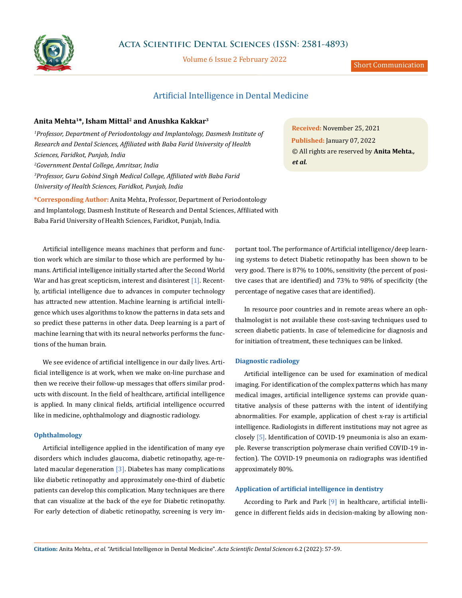

Volume 6 Issue 2 February 2022

# Artificial Intelligence in Dental Medicine

# **Anita Mehta1\*, Isham Mittal2 and Anushka Kakkar3**

<sup>1</sup> Professor, Department of Periodontology and Implantology, Dasmesh Institute of *Research and Dental Sciences, Affiliated with Baba Farid University of Health Sciences, Faridkot, Punjab, India 2 Government Dental College, Amritsar, India 3 Professor, Guru Gobind Singh Medical College, Affiliated with Baba Farid University of Health Sciences, Faridkot, Punjab, India*

**\*Corresponding Author:** Anita Mehta, Professor, Department of Periodontology and Implantology, Dasmesh Institute of Research and Dental Sciences, Affiliated with Baba Farid University of Health Sciences, Faridkot, Punjab, India.

Artificial intelligence means machines that perform and function work which are similar to those which are performed by humans. Artificial intelligence initially started after the Second World War and has great scepticism, interest and disinterest [1]. Recently, artificial intelligence due to advances in computer technology has attracted new attention. Machine learning is artificial intelligence which uses algorithms to know the patterns in data sets and so predict these patterns in other data. Deep learning is a part of machine learning that with its neural networks performs the functions of the human brain.

We see evidence of artificial intelligence in our daily lives. Artificial intelligence is at work, when we make on-line purchase and then we receive their follow-up messages that offers similar products with discount. In the field of healthcare, artificial intelligence is applied. In many clinical fields, artificial intelligence occurred like in medicine, ophthalmology and diagnostic radiology.

# **Ophthalmology**

Artificial intelligence applied in the identification of many eye disorders which includes glaucoma, diabetic retinopathy, age-related macular degeneration  $\lceil 3 \rceil$ . Diabetes has many complications like diabetic retinopathy and approximately one-third of diabetic patients can develop this complication. Many techniques are there that can visualize at the back of the eye for Diabetic retinopathy. For early detection of diabetic retinopathy, screening is very im-

**Received:** November 25, 2021 **Published:** January 07, 2022 © All rights are reserved by **Anita Mehta***., et al.*

portant tool. The performance of Artificial intelligence/deep learning systems to detect Diabetic retinopathy has been shown to be very good. There is 87% to 100%, sensitivity (the percent of positive cases that are identified) and 73% to 98% of specificity (the percentage of negative cases that are identified).

In resource poor countries and in remote areas where an ophthalmologist is not available these cost-saving techniques used to screen diabetic patients. In case of telemedicine for diagnosis and for initiation of treatment, these techniques can be linked.

# **Diagnostic radiology**

Artificial intelligence can be used for examination of medical imaging. For identification of the complex patterns which has many medical images, artificial intelligence systems can provide quantitative analysis of these patterns with the intent of identifying abnormalities. For example, application of chest x-ray is artificial intelligence. Radiologists in different institutions may not agree as closely [5]. Identification of COVID-19 pneumonia is also an example. Reverse transcription polymerase chain verified COVID-19 infection). The COVID-19 pneumonia on radiographs was identified approximately 80%.

## **Application of artificial intelligence in dentistry**

According to Park and Park [9] in healthcare, artificial intelligence in different fields aids in decision-making by allowing non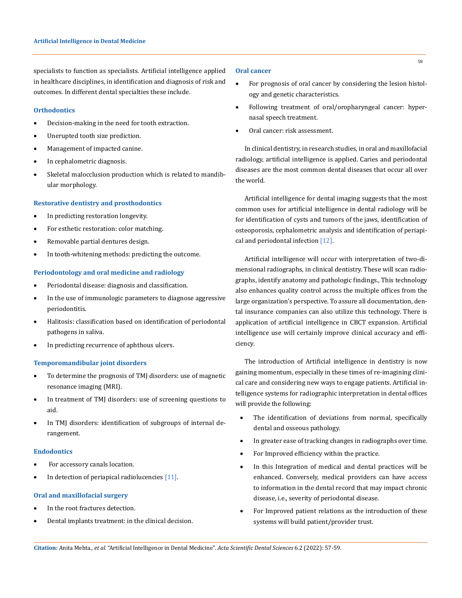specialists to function as specialists. Artificial intelligence applied in healthcare disciplines, in identification and diagnosis of risk and outcomes. In different dental specialties these include.

# **Orthodontics**

- Decision-making in the need for tooth extraction.
- Unerupted tooth size prediction.
- • Management of impacted canine.
- In cephalometric diagnosis.
- • Skeletal malocclusion production which is related to mandibular morphology.

### **Restorative dentistry and prosthodontics**

- • In predicting restoration longevity.
- • For esthetic restoration: color matching.
- Removable partial dentures design.
- In tooth-whitening methods: predicting the outcome.

#### **Periodontology and oral medicine and radiology**

- Periodontal disease: diagnosis and classification.
- • In the use of immunologic parameters to diagnose aggressive periodontitis.
- • Halitosis: classification based on identification of periodontal pathogens in saliva.
- In predicting recurrence of aphthous ulcers.

### **Temporomandibular joint disorders**

- • To determine the prognosis of TMJ disorders: use of magnetic resonance imaging (MRI).
- • In treatment of TMJ disorders: use of screening questions to aid.
- • In TMJ disorders: identification of subgroups of internal derangement.

### **Endodontics**

- For accessory canals location.
- In detection of periapical radiolucencies  $[11]$ .

### **Oral and maxillofacial surgery**

- In the root fractures detection.
- Dental implants treatment: in the clinical decision.

## **Oral cancer**

- For prognosis of oral cancer by considering the lesion histology and genetic characteristics.
- Following treatment of oral/oropharyngeal cancer: hypernasal speech treatment.
- Oral cancer: risk assessment.

In clinical dentistry, in research studies, in oral and maxillofacial radiology, artificial intelligence is applied. Caries and periodontal diseases are the most common dental diseases that occur all over the world.

Artificial intelligence for dental imaging suggests that the most common uses for artificial intelligence in dental radiology will be for identification of cysts and tumors of the jaws, identification of osteoporosis, cephalometric analysis and identification of periapical and periodontal infection [12].

Artificial intelligence will occur with interpretation of two-dimensional radiographs, in clinical dentistry. These will scan radiographs, identify anatomy and pathologic findings., This technology also enhances quality control across the multiple offices from the large organization's perspective. To assure all documentation, dental insurance companies can also utilize this technology. There is application of artificial intelligence in CBCT expansion. Artificial intelligence use will certainly improve clinical accuracy and efficiency.

The introduction of Artificial intelligence in dentistry is now gaining momentum, especially in these times of re-imagining clinical care and considering new ways to engage patients. Artificial intelligence systems for radiographic interpretation in dental offices will provide the following:

- The identification of deviations from normal, specifically dental and osseous pathology.
- In greater ease of tracking changes in radiographs over time.
- For Improved efficiency within the practice.
- In this Integration of medical and dental practices will be enhanced. Conversely, medical providers can have access to information in the dental record that may impact chronic disease, i.e., severity of periodontal disease.
- For Improved patient relations as the introduction of these systems will build patient/provider trust.

58